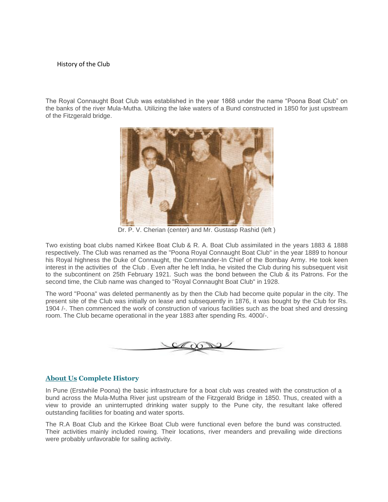## History of the Club

The Royal Connaught Boat Club was established in the year 1868 under the name "Poona Boat Club" on the banks of the river Mula-Mutha. Utilizing the lake waters of a Bund constructed in 1850 for just upstream of the Fitzgerald bridge.



Dr. P. V. Cherian (center) and Mr. Gustasp Rashid (left )

Two existing boat clubs named Kirkee Boat Club & R. A. Boat Club assimilated in the years 1883 & 1888 respectively. The Club was renamed as the "Poona Royal Connaught Boat Club" in the year 1889 to honour his Royal highness the Duke of Connaught, the Commander-In Chief of the Bombay Army. He took keen interest in the activities of the Club . Even after he left India, he visited the Club during his subsequent visit to the subcontinent on 25th February 1921. Such was the bond between the Club & its Patrons. For the second time, the Club name was changed to "Royal Connaught Boat Club" in 1928.

The word "Poona" was deleted permanently as by then the Club had become quite popular in the city. The present site of the Club was initially on lease and subsequently in 1876, it was bought by the Club for Rs. 1904 /-. Then commenced the work of construction of various facilities such as the boat shed and dressing room. The Club became operational in the year 1883 after spending Rs. 4000/-.



## **[About](file://///erpserver1/Support/godaddy%20login%20details/Website%20Proposal/My%20Web%20Sites/boatclub/www.boatclubpune.com/about-us.html) Us Complete History**

In Pune (Erstwhile Poona) the basic infrastructure for a boat club was created with the construction of a bund across the Mula-Mutha River just upstream of the Fitzgerald Bridge in 1850. Thus, created with a view to provide an uninterrupted drinking water supply to the Pune city, the resultant lake offered outstanding facilities for boating and water sports.

The R.A Boat Club and the Kirkee Boat Club were functional even before the bund was constructed. Their activities mainly included rowing. Their locations, river meanders and prevailing wide directions were probably unfavorable for sailing activity.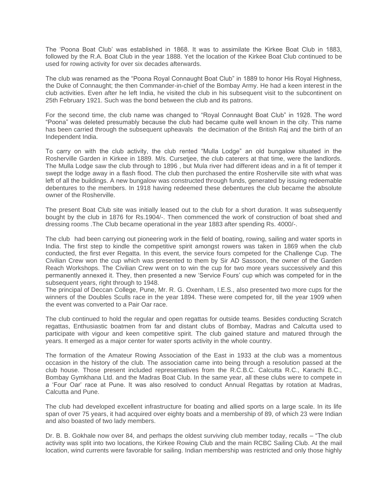The 'Poona Boat Club' was established in 1868. It was to assimilate the Kirkee Boat Club in 1883, followed by the R.A. Boat Club in the year 1888. Yet the location of the Kirkee Boat Club continued to be used for rowing activity for over six decades afterwards.

The club was renamed as the "Poona Royal Connaught Boat Club" in 1889 to honor His Royal Highness, the Duke of Connaught; the then Commander-in-chief of the Bombay Army. He had a keen interest in the club activities. Even after he left India, he visited the club in his subsequent visit to the subcontinent on 25th February 1921. Such was the bond between the club and its patrons.

For the second time, the club name was changed to "Royal Connaught Boat Club" in 1928. The word "Poona" was deleted presumably because the club had became quite well known in the city. This name has been carried through the subsequent upheavals the decimation of the British Raj and the birth of an Independent India.

To carry on with the club activity, the club rented "Mulla Lodge" an old bungalow situated in the Rosherville Garden in Kirkee in 1889. M/s. Cursetjee, the club caterers at that time, were the landlords. The Mulla Lodge saw the club through to 1896 , but Mula river had different ideas and in a fit of temper it swept the lodge away in a flash flood. The club then purchased the entire Rosherville site with what was left of all the buildings. A new bungalow was constructed through funds, generated by issuing redeemable debentures to the members. In 1918 having redeemed these debentures the club became the absolute owner of the Rosherville.

The present Boat Club site was initially leased out to the club for a short duration. It was subsequently bought by the club in 1876 for Rs.1904/-. Then commenced the work of construction of boat shed and dressing rooms .The Club became operational in the year 1883 after spending Rs. 4000/-.

The club had been carrying out pioneering work in the field of boating, rowing, sailing and water sports in India. The first step to kindle the competitive spirit amongst rowers was taken in 1869 when the club conducted, the first ever Regatta. In this event, the service fours competed for the Challenge Cup. The Civilian Crew won the cup which was presented to them by Sir AD Sassoon, the owner of the Garden Reach Workshops. The Civilian Crew went on to win the cup for two more years successively and this permanently annexed it. They, then presented a new 'Service Fours' cup which was competed for in the subsequent years, right through to 1948.

The principal of Deccan College, Pune, Mr. R. G. Oxenham, I.E.S., also presented two more cups for the winners of the Doubles Sculls race in the year 1894. These were competed for, till the year 1909 when the event was converted to a Pair Oar race.

The club continued to hold the regular and open regattas for outside teams. Besides conducting Scratch regattas, Enthusiastic boatmen from far and distant clubs of Bombay, Madras and Calcutta used to participate with vigour and keen competitive spirit. The club gained stature and matured through the years. It emerged as a major center for water sports activity in the whole country.

The formation of the Amateur Rowing Association of the East in 1933 at the club was a momentous occasion in the history of the club. The association came into being through a resolution passed at the club house. Those present included representatives from the R.C.B.C. Calcutta R.C., Karachi B.C., Bombay Gymkhana Ltd. and the Madras Boat Club. In the same year, all these clubs were to compete in a 'Four Oar' race at Pune. It was also resolved to conduct Annual Regattas by rotation at Madras, Calcutta and Pune.

The club had developed excellent infrastructure for boating and allied sports on a large scale. In its life span of over 75 years, it had acquired over eighty boats and a membership of 89, of which 23 were Indian and also boasted of two lady members.

Dr. B. B. Gokhale now over 84, and perhaps the oldest surviving club member today, recalls – "The club activity was split into two locations, the Kirkee Rowing Club and the main RCBC Sailing Club. At the mail location, wind currents were favorable for sailing. Indian membership was restricted and only those highly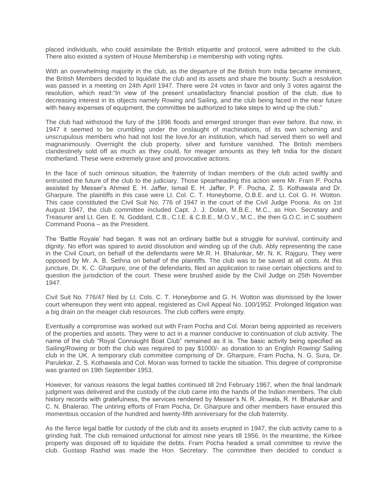placed individuals, who could assimilate the British etiquette and protocol, were admitted to the club. There also existed a system of House Membership i.e membership with voting rights.

With an overwhelming majority in the club, as the departure of the British from India became imminent, the British Members decided to liquidate the club and its assets and share the bounty. Such a resolution was passed in a meeting on 24th April 1947. There were 24 votes in favor and only 3 votes against the resolution, which read:"In view of the present unsatisfactory financial position of the club, due to decreasing interest in its objects namely Rowing and Sailing, and the club being faced in the near future with heavy expenses of equipment, the committee be authorized to take steps to wind up the club."

The club had withstood the fury of the 1896 floods and emerged stronger than ever before. But now, in 1947 it seemed to be crumbling under the onslaught of machinations, of its own scheming and unscrupulous members who had not lost the love,for an institution, which had served them so well and magnanimously. Overnight the club property, silver and furniture vanished. The British members clandestinely sold off as much as they could, for meager amounts as they left India for the distant motherland. These were extremely grave and provocative actions.

In the face of such ominous situation, the fraternity of Indian members of the club acted swiftly and entrusted the future of the club to the judiciary. Those spearheading this action were Mr. Fram P. Pocha assisted by Messer's Ahmed E. H. Jaffer, Ismail E. H. Jaffer, P. F. Pocha, Z. S. Kothawala and Dr. Gharpure. The plaintiffs in this case were Lt. Col. C. T. Honeyborne, O.B.E. and Lt. Col. G. H. Wotton. This case constituted the Civil Suit No. 776 of 1947 in the court of the Civil Judge Poona. As on 1st August 1947, the club committee included Capt. J. J. Dolan, M.B.E., M.C., as Hon. Secretary and Treasurer and Lt. Gen. E. N. Goddard, C.B., C.I.E. & C.B.E., M.O.V., M.C., the then G.O.C. in C southern Command Poona – as the President.

The 'Battle Royale' had began. It was not an ordinary battle but a struggle for survival, continuity and dignity. No effort was spared to avoid dissolution and winding up of the club. Ably representing the case in the Civil Court, on behalf of the defendants were Mr.R. H. Bhalunkar, Mr. N. K. Rajguru. They were opposed by Mr. A. B. Sethna on behalf of the plaintiffs. The club was to be saved at all costs. At this juncture, Dr. K. C. Gharpure, one of the defendants, filed an application to raise certain objections and to question the jurisdiction of the court. These were brushed aside by the Civil Judge on 25th November 1947.

Civil Suit No. 776/47 filed by Lt. Cols. C. T. Honeyborne and G. H. Wotton was dismissed by the lower court whereupon they went into appeal, registered as Civil Appeal No. 100/1952. Prolonged litigation was a big drain on the meager club resources. The club coffers were empty.

Eventually a compromise was worked out with Fram Pocha and Col. Moran being appointed as receivers of the properties and assets. They were to act in a manner conducive to continuation of club activity. The name of the club "Royal Connaught Boat Club" remained as it is. The basic activity being specified as Sailing/Rowing or both the club was required to pay \$1000/- as donation to an English Rowing/ Sailing club in the UK. A temporary club committee comprising of Dr. Gharpure, Fram Pocha, N. G. Sura, Dr. Parulekar, Z. S. Kothawala and Col. Moran was formed to tackle the situation. This degree of compromise was granted on 19th September 1953.

However, for various reasons the legal battles continued till 2nd February 1967, when the final landmark judgment was delivered and the custody of the club came into the hands of the Indian members. The club history records with gratefulness, the services rendered by Messer's N. R. Jinwala, R. H. Bhalunkar and C. N. Bhalerao. The untiring efforts of Fram Pocha, Dr. Gharpure and other members have ensured this momentous occasion of the hundred and twenty-fifth anniversary for the club fraternity.

As the fierce legal battle for custody of the club and its assets erupted in 1947, the club activity came to a grinding halt. The club remained unfuctional for almost nine years till 1956. In the meantime, the Kirkee property was disposed off to liquidate the debts. Fram Pocha headed a small committee to revive the club. Gustasp Rashid was made the Hon. Secretary. The committee then decided to conduct a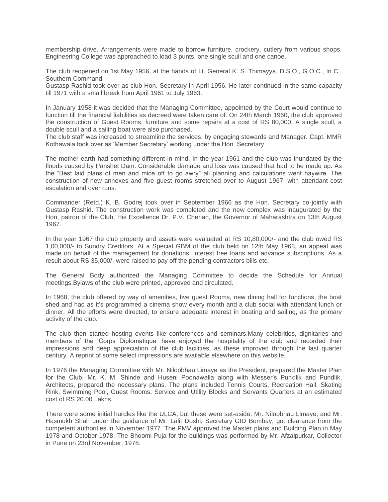membership drive. Arrangements were made to borrow furniture, crockery, cutlery from various shops. Engineering College was approached to load 3 punts, one single scull and one canoe.

The club reopened on 1st May 1956, at the hands of Lt. General K. S. Thimayya, D.S.O., G.O.C., In C., Southern Command.

Gustasp Rashid took over as club Hon. Secretary in April 1956. He later continued in the same capacity till 1971 with a small break from April 1961 to July 1963.

In January 1958 it was decided that the Managing Committee, appointed by the Court would continue to function till the financial liabilities as decreed were taken care of. On 24th March 1960, the club approved the construction of Guest Rooms, furniture and some repairs at a cost of RS 80,000. A single scull, a double scull and a sailing boat were also purchased.

The club staff was increased to streamline the services, by engaging stewards and Manager. Capt. MMR Kothawala took over as 'Member Secretary' working under the Hon. Secretary.

The mother earth had something different in mind. In the year 1961 and the club was inundated by the floods caused by Panshet Dam. Considerable damage and loss was caused that had to be made up. As the "Best laid plans of men and mice oft to go awry" all planning and calculations went haywire. The construction of new annexes and five guest rooms stretched over to August 1967, with attendant cost escalation and over runs.

Commander (Retd.) K. B. Godrej took over in September 1966 as the Hon. Secretary co-jointly with Gustasp Rashid. The construction work was completed and the new complex was inaugurated by the Hon, patron of the Club, His Excellence Dr. P.V. Cherian, the Governor of Maharashtra on 13th August 1967.

In the year 1967 the club property and assets were evaluated at RS 10,80,000/- and the club owed RS 1,00,000/- to Sundry Creditors. At a Special GBM of the club held on 12th May 1968, an appeal was made on behalf of the management for donations, interest free loans and advance subscriptions. As a result about RS 35,000/- were raised to pay off the pending contractors bills etc.

The General Body authorized the Managing Committee to decide the Schedule for Annual meetings.Bylaws of the club were printed, approved and circulated.

In 1968, the club offered by way of amenities, five guest Rooms, new dining hall for functions, the boat shed and had as it's programmed a cinema show every month and a club social with attendant lunch or dinner. All the efforts were directed, to ensure adequate interest in boating and sailing, as the primary activity of the club.

The club then started hosting events like conferences and seminars.Many celebrities, dignitaries and members of the 'Corps Diplomatique' have enjoyed the hospitality of the club and recorded their impressions and deep appreciation of the club facilities, as these improved through the last quarter century. A reprint of some select impressions are available elsewhere on this website.

In 1976 the Managing Committee with Mr. Niloobhau Limaye as the President, prepared the Master Plan for the Club. Mr. K. M. Shinde and Huseni Poonawalla along with Messer's Pundlik and Pundlik, Architects, prepared the necessary plans. The plans included Tennis Courts, Recreation Hall, Skating Rink, Swimming Pool, Guest Rooms, Service and Utility Blocks and Servants Quarters at an estimated cost of RS 20.00 Lakhs.

There were some initial hurdles like the ULCA, but these were set-aside. Mr. Niloobhau Limaye, and Mr. Hasmukh Shah under the guidance of Mr. Lalit Doshi, Secretary GID Bombay, got clearance from the competent authorities in November 1977. The PMV approved the Master plans and Building Plan in May 1978 and October 1978. The Bhoomi Puja for the buildings was performed by Mr. Afzalpurkar, Collector in Pune on 23rd November, 1978.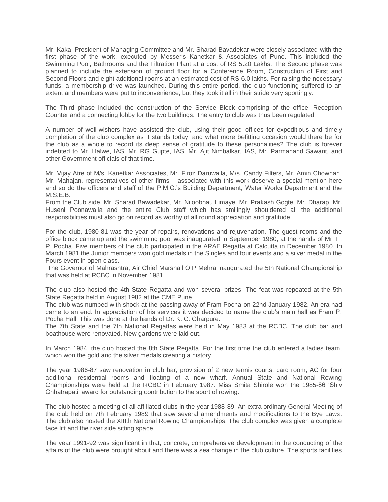Mr. Kaka, President of Managing Committee and Mr. Sharad Bavadekar were closely associated with the first phase of the work, executed by Messer's Kanetkar & Associates of Pune. This included the Swimming Pool, Bathrooms and the Filtration Plant at a cost of RS 5.20 Lakhs. The Second phase was planned to include the extension of ground floor for a Conference Room, Construction of First and Second Floors and eight additional rooms at an estimated cost of RS 6.0 lakhs. For raising the necessary funds, a membership drive was launched. During this entire period, the club functioning suffered to an extent and members were put to inconvenience, but they took it all in their stride very sportingly.

The Third phase included the construction of the Service Block comprising of the office, Reception Counter and a connecting lobby for the two buildings. The entry to club was thus been regulated.

A number of well-wishers have assisted the club, using their good offices for expeditious and timely completion of the club complex as it stands today, and what more befitting occasion would there be for the club as a whole to record its deep sense of gratitude to these personalities? The club is forever indebted to Mr. Halwe, IAS, Mr. RG Gupte, IAS, Mr. Ajit Nimbalkar, IAS, Mr. Parmanand Sawant, and other Government officials of that time.

Mr. Vijay Atre of M/s. Kanetkar Associates, Mr. Firoz Daruwalla, M/s. Candy Filters, Mr. Amin Chowhan, Mr. Mahajan, representatives of other firms – associated with this work deserve a special mention here and so do the officers and staff of the P.M.C.'s Building Department, Water Works Department and the M.S.E.B.

From the Club side, Mr. Sharad Bawadekar, Mr. Niloobhau Limaye, Mr. Prakash Gogte, Mr. Dharap, Mr. Huseni Poonawalla and the entire Club staff which has smilingly shouldered all the additional responsibilities must also go on record as worthy of all round appreciation and gratitude.

For the club, 1980-81 was the year of repairs, renovations and rejuvenation. The guest rooms and the office block came up and the swimming pool was inaugurated in September 1980, at the hands of Mr. F. P. Pocha. Five members of the club participated in the ARAE Regatta at Calcutta in December 1980. In March 1981 the Junior members won gold medals in the Singles and four events and a silver medal in the Fours event in open class.

The Governor of Mahrashtra, Air Chief Marshall O.P Mehra inaugurated the 5th National Championship that was held at RCBC in November 1981.

The club also hosted the 4th State Regatta and won several prizes, The feat was repeated at the 5th State Regatta held in August 1982 at the CME Pune.

The club was numbed with shock at the passing away of Fram Pocha on 22nd January 1982. An era had came to an end. In appreciation of his services it was decided to name the club's main hall as Fram P. Pocha Hall. This was done at the hands of Dr. K. C. Gharpure.

The 7th State and the 7th National Regattas were held in May 1983 at the RCBC. The club bar and boathouse were renovated. New gardens were laid out.

In March 1984, the club hosted the 8th State Regatta. For the first time the club entered a ladies team, which won the gold and the silver medals creating a history.

The year 1986-87 saw renovation in club bar, provision of 2 new tennis courts, card room, AC for four additional residential rooms and floating of a new wharf. Annual State and National Rowing Championships were held at the RCBC in February 1987. Miss Smita Shirole won the 1985-86 'Shiv Chhatrapati' award for outstanding contribution to the sport of rowing.

The club hosted a meeting of all affiliated clubs in the year 1988-89. An extra ordinary General Meeting of the club held on 7th February 1989 that saw several amendments and modifications to the Bye Laws. The club also hosted the XIIIth National Rowing Championships. The club complex was given a complete face lift and the river side sitting space.

The year 1991-92 was significant in that, concrete, comprehensive development in the conducting of the affairs of the club were brought about and there was a sea change in the club culture. The sports facilities